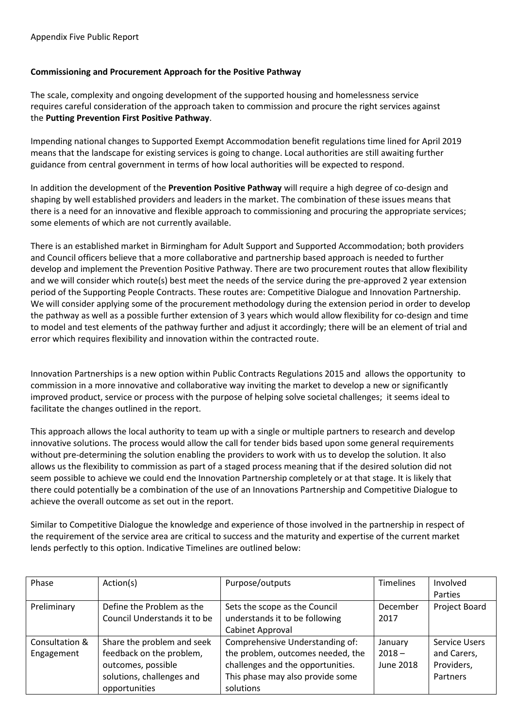## **Commissioning and Procurement Approach for the Positive Pathway**

The scale, complexity and ongoing development of the supported housing and homelessness service requires careful consideration of the approach taken to commission and procure the right services against the **Putting Prevention First Positive Pathway**.

Impending national changes to Supported Exempt Accommodation benefit regulations time lined for April 2019 means that the landscape for existing services is going to change. Local authorities are still awaiting further guidance from central government in terms of how local authorities will be expected to respond.

In addition the development of the **Prevention Positive Pathway** will require a high degree of co-design and shaping by well established providers and leaders in the market. The combination of these issues means that there is a need for an innovative and flexible approach to commissioning and procuring the appropriate services; some elements of which are not currently available.

There is an established market in Birmingham for Adult Support and Supported Accommodation; both providers and Council officers believe that a more collaborative and partnership based approach is needed to further develop and implement the Prevention Positive Pathway. There are two procurement routes that allow flexibility and we will consider which route(s) best meet the needs of the service during the pre-approved 2 year extension period of the Supporting People Contracts. These routes are: Competitive Dialogue and Innovation Partnership. We will consider applying some of the procurement methodology during the extension period in order to develop the pathway as well as a possible further extension of 3 years which would allow flexibility for co-design and time to model and test elements of the pathway further and adjust it accordingly; there will be an element of trial and error which requires flexibility and innovation within the contracted route.

Innovation Partnerships is a new option within Public Contracts Regulations 2015 and allows the opportunity to commission in a more innovative and collaborative way inviting the market to develop a new or significantly improved product, service or process with the purpose of helping solve societal challenges; it seems ideal to facilitate the changes outlined in the report.

This approach allows the local authority to team up with a single or multiple partners to research and develop innovative solutions. The process would allow the call for tender bids based upon some general requirements without pre-determining the solution enabling the providers to work with us to develop the solution. It also allows us the flexibility to commission as part of a staged process meaning that if the desired solution did not seem possible to achieve we could end the Innovation Partnership completely or at that stage. It is likely that there could potentially be a combination of the use of an Innovations Partnership and Competitive Dialogue to achieve the overall outcome as set out in the report.

Similar to Competitive Dialogue the knowledge and experience of those involved in the partnership in respect of the requirement of the service area are critical to success and the maturity and expertise of the current market lends perfectly to this option. Indicative Timelines are outlined below:

| Phase          | Action(s)                    | Purpose/outputs                   | <b>Timelines</b> | Involved             |
|----------------|------------------------------|-----------------------------------|------------------|----------------------|
|                |                              |                                   |                  | Parties              |
| Preliminary    | Define the Problem as the    | Sets the scope as the Council     | December         | Project Board        |
|                | Council Understands it to be | understands it to be following    | 2017             |                      |
|                |                              | <b>Cabinet Approval</b>           |                  |                      |
| Consultation & | Share the problem and seek   | Comprehensive Understanding of:   | January          | <b>Service Users</b> |
| Engagement     | feedback on the problem,     | the problem, outcomes needed, the | $2018 -$         | and Carers,          |
|                | outcomes, possible           | challenges and the opportunities. | June 2018        | Providers,           |
|                | solutions, challenges and    | This phase may also provide some  |                  | Partners             |
|                | opportunities                | solutions                         |                  |                      |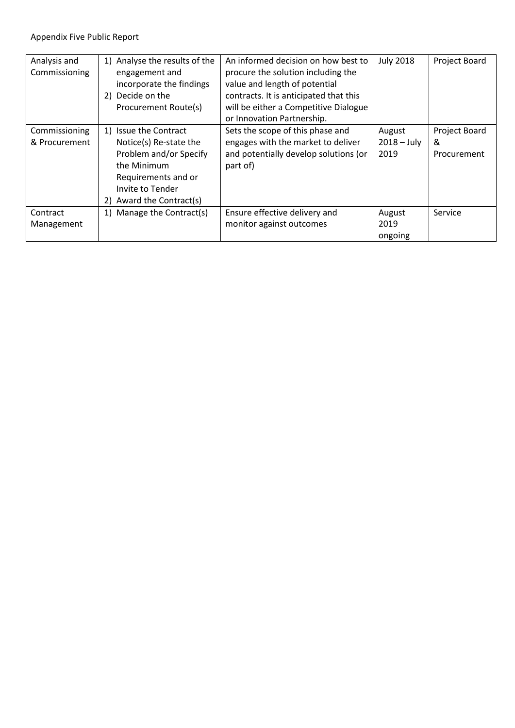| Analysis and<br>Commissioning  | 1) Analyse the results of the<br>engagement and<br>incorporate the findings<br>Decide on the<br>2)<br>Procurement Route(s)                                      | An informed decision on how best to<br>procure the solution including the<br>value and length of potential<br>contracts. It is anticipated that this<br>will be either a Competitive Dialogue<br>or Innovation Partnership. | <b>July 2018</b>                | Project Board                     |
|--------------------------------|-----------------------------------------------------------------------------------------------------------------------------------------------------------------|-----------------------------------------------------------------------------------------------------------------------------------------------------------------------------------------------------------------------------|---------------------------------|-----------------------------------|
| Commissioning<br>& Procurement | 1) Issue the Contract<br>Notice(s) Re-state the<br>Problem and/or Specify<br>the Minimum<br>Requirements and or<br>Invite to Tender<br>2) Award the Contract(s) | Sets the scope of this phase and<br>engages with the market to deliver<br>and potentially develop solutions (or<br>part of)                                                                                                 | August<br>$2018 - July$<br>2019 | Project Board<br>&<br>Procurement |
| Contract<br>Management         | 1) Manage the Contract(s)                                                                                                                                       | Ensure effective delivery and<br>monitor against outcomes                                                                                                                                                                   | August<br>2019<br>ongoing       | Service                           |